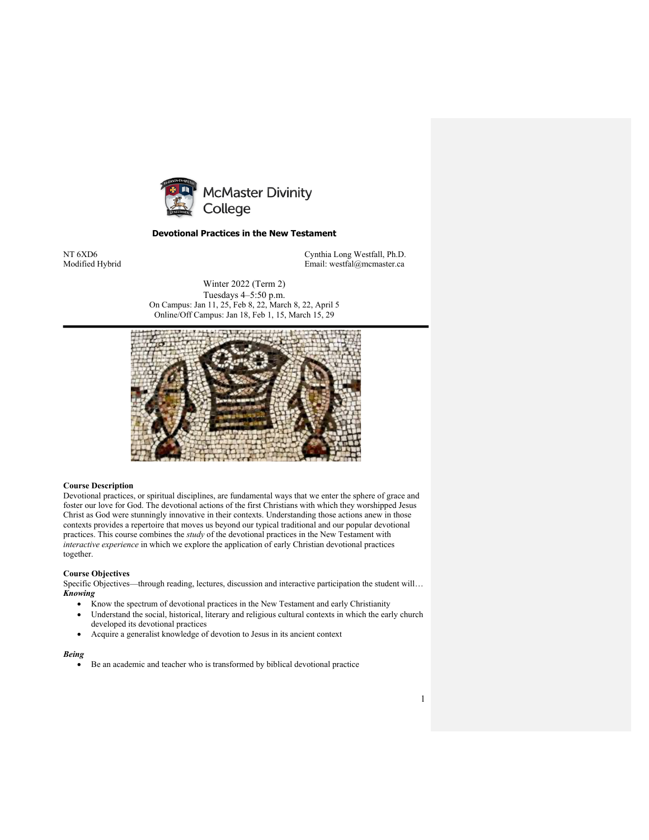

# **Devotional Practices in the New Testament**

NT 6XD6 Cynthia Long Westfall, Ph.D. Email: westfal@mcmaster.ca

> Winter 2022 (Term 2) Tuesdays 4–5:50 p.m. On Campus: Jan 11, 25, Feb 8, 22, March 8, 22, April 5 Online/Off Campus: Jan 18, Feb 1, 15, March 15, 29



# **Course Description**

Devotional practices, or spiritual disciplines, are fundamental ways that we enter the sphere of grace and foster our love for God. The devotional actions of the first Christians with which they worshipped Jesus Christ as God were stunningly innovative in their contexts. Understanding those actions anew in those contexts provides a repertoire that moves us beyond our typical traditional and our popular devotional practices. This course combines the *study* of the devotional practices in the New Testament with *interactive experience* in which we explore the application of early Christian devotional practices together.

#### **Course Objectives**

Specific Objectives—through reading, lectures, discussion and interactive participation the student will… *Knowing*

- Know the spectrum of devotional practices in the New Testament and early Christianity
- Understand the social, historical, literary and religious cultural contexts in which the early church developed its devotional practices
- Acquire a generalist knowledge of devotion to Jesus in its ancient context

#### *Being*

• Be an academic and teacher who is transformed by biblical devotional practice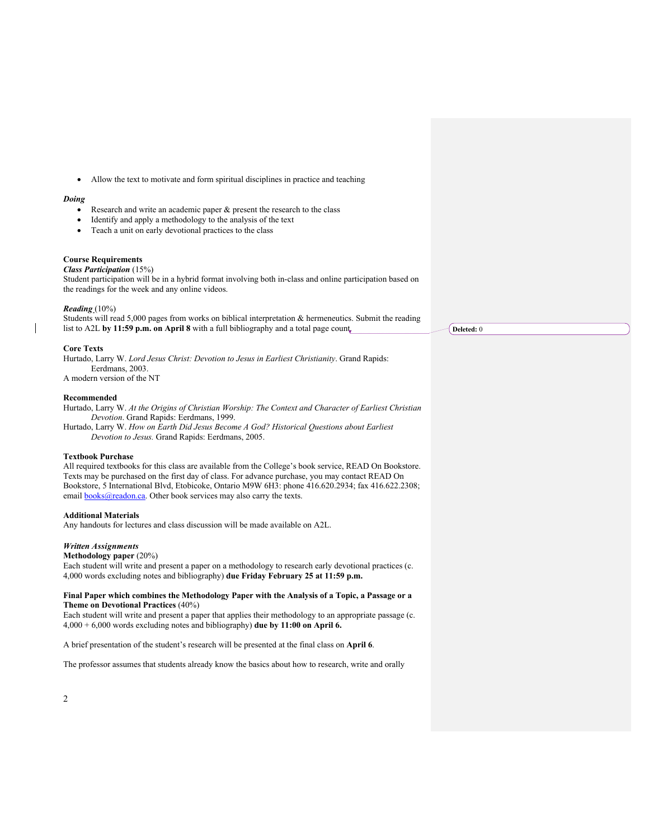• Allow the text to motivate and form spiritual disciplines in practice and teaching

# *Doing*

- Research and write an academic paper  $\&$  present the research to the class
- Identify and apply a methodology to the analysis of the text
- Teach a unit on early devotional practices to the class

# **Course Requirements**

# *Class Participation* (15%)

Student participation will be in a hybrid format involving both in-class and online participation based on the readings for the week and any online videos.

#### *Reading* (10%)

Students will read 5,000 pages from works on biblical interpretation & hermeneutics. Submit the reading list to A2L by 11:59 p.m. on April 8 with a full bibliography and a total page count.

### **Core Texts**

Hurtado, Larry W. *Lord Jesus Christ: Devotion to Jesus in Earliest Christianity*. Grand Rapids: Eerdmans, 2003. A modern version of the NT

#### **Recommended**

Hurtado, Larry W. *At the Origins of Christian Worship: The Context and Character of Earliest Christian Devotion*. Grand Rapids: Eerdmans, 1999.

Hurtado, Larry W. *How on Earth Did Jesus Become A God? Historical Questions about Earliest Devotion to Jesus.* Grand Rapids: Eerdmans, 2005.

### **Textbook Purchase**

All required textbooks for this class are available from the College's book service, READ On Bookstore. Texts may be purchased on the first day of class. For advance purchase, you may contact READ On Bookstore, 5 International Blvd, Etobicoke, Ontario M9W 6H3: phone 416.620.2934; fax 416.622.2308; email **books@readon.ca**. Other book services may also carry the texts.

# **Additional Materials**

Any handouts for lectures and class discussion will be made available on A2L.

### *Written Assignments*

#### **Methodology paper** (20%)

Each student will write and present a paper on a methodology to research early devotional practices (c. 4,000 words excluding notes and bibliography) **due Friday February 25 at 11:59 p.m.**

#### **Final Paper which combines the Methodology Paper with the Analysis of a Topic, a Passage or a Theme on Devotional Practices** (40%)

Each student will write and present a paper that applies their methodology to an appropriate passage (c. 4,000 + 6,000 words excluding notes and bibliography) **due by 11:00 on April 6.**

A brief presentation of the student's research will be presented at the final class on **April 6**.

The professor assumes that students already know the basics about how to research, write and orally

**Deleted:** 0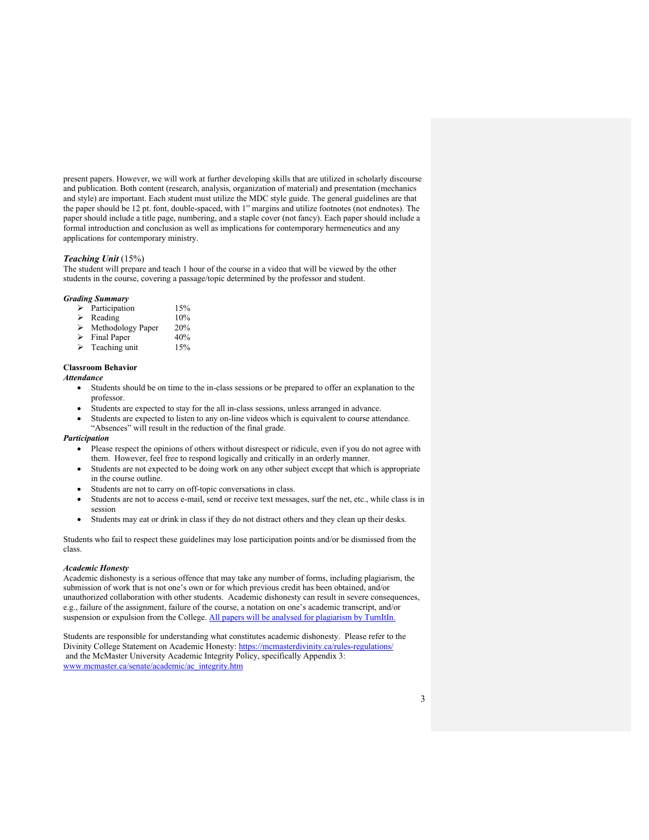present papers. However, we will work at further developing skills that are utilized in scholarly discourse and publication. Both content (research, analysis, organization of material) and presentation (mechanics and style) are important. Each student must utilize the MDC style guide. The general guidelines are that the paper should be 12 pt. font, double-spaced, with 1" margins and utilize footnotes (not endnotes). The paper should include a title page, numbering, and a staple cover (not fancy). Each paper should include a formal introduction and conclusion as well as implications for contemporary hermeneutics and any applications for contemporary ministry.

#### *Teaching Unit* (15%)

The student will prepare and teach 1 hour of the course in a video that will be viewed by the other students in the course, covering a passage/topic determined by the professor and student.

#### *Grading Summary*

| ↘ | Participation | 15% |
|---|---------------|-----|
| ↘ | Reading       | 10% |

- > Methodology Paper 20%
- Final Paper 40%
- $\triangleright$  Teaching unit 15%

## **Classroom Behavior**

### *Attendance*

- Students should be on time to the in-class sessions or be prepared to offer an explanation to the professor.
- Students are expected to stay for the all in-class sessions, unless arranged in advance.
- Students are expected to listen to any on-line videos which is equivalent to course attendance. "Absences" will result in the reduction of the final grade.

# *Participation*

- Please respect the opinions of others without disrespect or ridicule, even if you do not agree with them. However, feel free to respond logically and critically in an orderly manner.
- Students are not expected to be doing work on any other subject except that which is appropriate in the course outline.
- Students are not to carry on off-topic conversations in class.
- Students are not to access e-mail, send or receive text messages, surf the net, etc., while class is in session
- Students may eat or drink in class if they do not distract others and they clean up their desks.

Students who fail to respect these guidelines may lose participation points and/or be dismissed from the class.

# *Academic Honesty*

Academic dishonesty is a serious offence that may take any number of forms, including plagiarism, the submission of work that is not one's own or for which previous credit has been obtained, and/or unauthorized collaboration with other students. Academic dishonesty can result in severe consequences, e.g., failure of the assignment, failure of the course, a notation on one's academic transcript, and/or suspension or expulsion from the College. All papers will be analysed for plagiarism by TurnItIn.

Students are responsible for understanding what constitutes academic dishonesty. Please refer to the Divinity College Statement on Academic Honesty: https://mcmasterdivinity.ca/rules-regulations/ and the McMaster University Academic Integrity Policy, specifically Appendix 3: www.mcmaster.ca/senate/academic/ac\_integrity.htm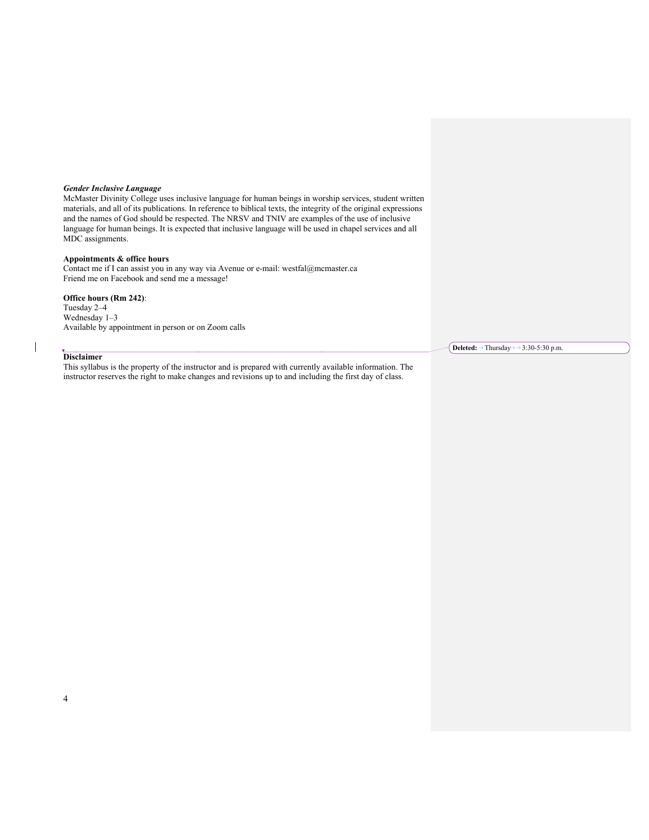# *Gender Inclusive Language*

McMaster Divinity College uses inclusive language for human beings in worship services, student written materials, and all of its publications. In reference to biblical texts, the integrity of the original expressions and the names of God should be respected. The NRSV and TNIV are examples of the use of inclusive language for human beings. It is expected that inclusive language will be used in chapel services and all MDC assignments.

# **Appointments & office hours**

Contact me if I can assist you in any way via Avenue or e-mail: westfal@mcmaster.ca Friend me on Facebook and send me a message!

# **Office hours (Rm 242)**:

Tuesday 2–4 Wednesday 1–3 Available by appointment in person or on Zoom calls

### **Disclaimer**

This syllabus is the property of the instructor and is prepared with currently available information. The instructor reserves the right to make changes and revisions up to and including the first day of class.

**Deleted:**  $\rightarrow$  Thursday $\rightarrow$  3:30-5:30 p.m.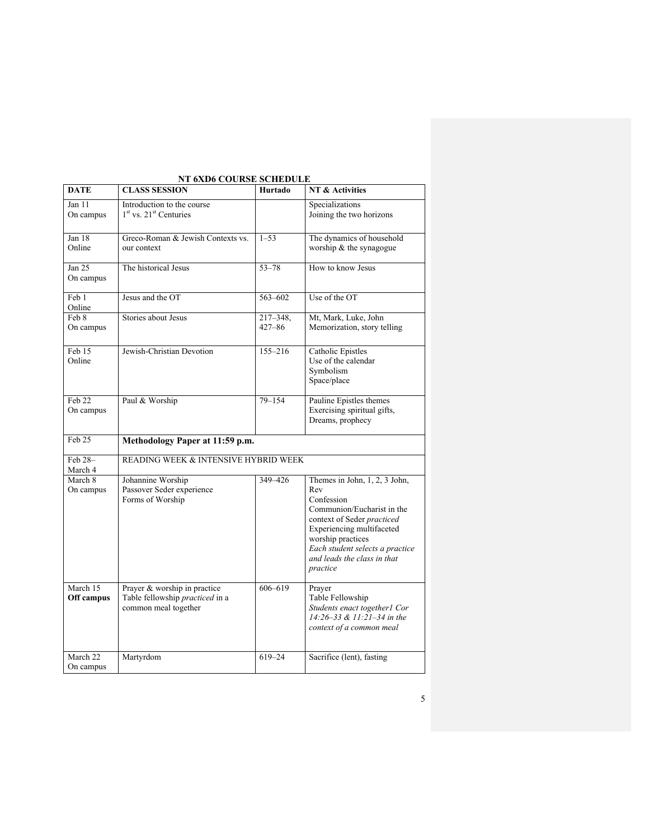| <b>DATE</b>            | <b>CLASS SESSION</b>                                                                    | Hurtado                     | NT & Activities                                                                                                                                                                                                                                |
|------------------------|-----------------------------------------------------------------------------------------|-----------------------------|------------------------------------------------------------------------------------------------------------------------------------------------------------------------------------------------------------------------------------------------|
| Jan 11<br>On campus    | Introduction to the course<br>$1st$ vs. $21st$ Centuries                                |                             | Specializations<br>Joining the two horizons                                                                                                                                                                                                    |
| Jan 18<br>Online       | Greco-Roman & Jewish Contexts vs.<br>our context                                        | $1 - 53$                    | The dynamics of household<br>worship & the synagogue                                                                                                                                                                                           |
| Jan $25$<br>On campus  | The historical Jesus                                                                    | $53 - 78$                   | How to know Jesus                                                                                                                                                                                                                              |
| Feb 1<br>Online        | Jesus and the OT                                                                        | 563-602                     | Use of the OT                                                                                                                                                                                                                                  |
| Feb 8<br>On campus     | Stories about Jesus                                                                     | $217 - 348$ ,<br>$427 - 86$ | Mt, Mark, Luke, John<br>Memorization, story telling                                                                                                                                                                                            |
| Feb 15<br>Online       | Jewish-Christian Devotion                                                               | 155-216                     | <b>Catholic Epistles</b><br>Use of the calendar<br>Symbolism<br>Space/place                                                                                                                                                                    |
| Feb 22<br>On campus    | Paul & Worship                                                                          | $79 - 154$                  | Pauline Epistles themes<br>Exercising spiritual gifts,<br>Dreams, prophecy                                                                                                                                                                     |
| Feb 25                 | Methodology Paper at 11:59 p.m.                                                         |                             |                                                                                                                                                                                                                                                |
| Feb 28-<br>March 4     | READING WEEK & INTENSIVE HYBRID WEEK                                                    |                             |                                                                                                                                                                                                                                                |
| March 8<br>On campus   | Johannine Worship<br>Passover Seder experience<br>Forms of Worship                      | 349-426                     | Themes in John, 1, 2, 3 John,<br>Rev<br>Confession<br>Communion/Eucharist in the<br>context of Seder practiced<br>Experiencing multifaceted<br>worship practices<br>Each student selects a practice<br>and leads the class in that<br>practice |
| March 15<br>Off campus | Prayer & worship in practice<br>Table fellowship practiced in a<br>common meal together | 606-619                     | Prayer<br>Table Fellowship<br>Students enact together1 Cor<br>14:26-33 & 11:21-34 in the<br>context of a common meal                                                                                                                           |
| March 22<br>On campus  | Martyrdom                                                                               | $619 - 24$                  | Sacrifice (lent), fasting                                                                                                                                                                                                                      |

# **NT 6XD6 COURSE SCHEDULE**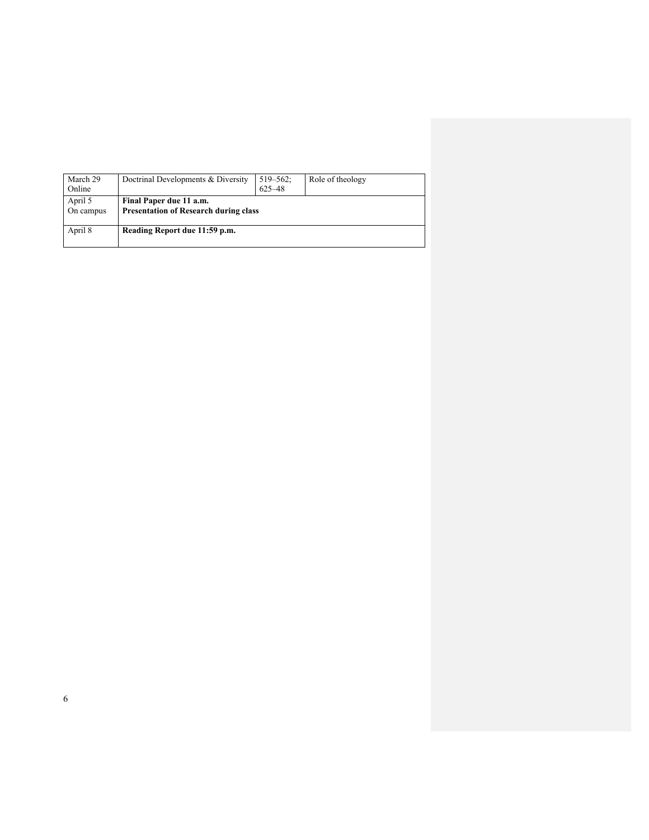| March 29<br>Online   | Doctrinal Developments & Diversity                                      | $519 - 562$ ;<br>625-48 | Role of theology |  |
|----------------------|-------------------------------------------------------------------------|-------------------------|------------------|--|
| April 5<br>On campus | Final Paper due 11 a.m.<br><b>Presentation of Research during class</b> |                         |                  |  |
| April 8              | Reading Report due 11:59 p.m.                                           |                         |                  |  |